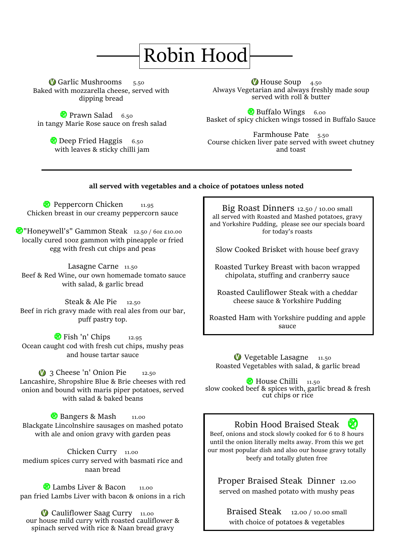## Robin Hood

**V** Garlic Mushrooms  $_{5.50}$ Baked with mozzarella cheese, served with dipping bread

**Prawn Salad** 6.50 in tangy Marie Rose sauce on fresh salad

> **Deep Fried Haggis** 6.50 with leaves & sticky chilli jam

House Soup 4.50 Always Vegetarian and always freshly made soup served with roll & butter

**Buffalo Wings** 6.00 Basket of spicy chicken wings tossed in Buffalo Sauce

Farmhouse Pate 5.50 Course chicken liver pate served with sweet chutney and toast

#### **all served with vegetables and a choice of potatoes unless noted**

Peppercorn Chicken  $11.95$ Chicken breast in our creamy peppercorn sauce

**M** "Honeywell's" Gammon Steak 12.50 / 60z £10.00 locally cured 10oz gammon with pineapple or fried egg with fresh cut chips and peas

Lasagne Carne 11.50 Beef & Red Wine, our own homemade tomato sauce with salad, & garlic bread

Steak & Ale Pie 12.50 Beef in rich gravy made with real ales from our bar, puff pastry top.

**Fish 'n' Chips**  $12.95$ Ocean caught cod with fresh cut chips, mushy peas and house tartar sauce

**3** Cheese 'n' Onion Pie 12.50 Lancashire, Shropshire Blue & Brie cheeses with red onion and bound with maris piper potatoes, served with salad & baked beans

**Bangers & Mash** 11.00 Blackgate Lincolnshire sausages on mashed potato with ale and onion gravy with garden peas

Chicken Curry 11.00 medium spices curry served with basmati rice and naan bread

**C** Lambs Liver & Bacon 11.00 pan fried Lambs Liver with bacon & onions in a rich

spinach served with rice & Naan bread gravy **D** Cauliflower Saag Curry 11.00 our house mild curry with roasted cauliflower &

Big Roast Dinners 12.50 / 10.00 small all served with Roasted and Mashed potatoes, gravy and Yorkshire Pudding, please see our specials board for today's roasts

Slow Cooked Brisket with house beef gravy

Roasted Turkey Breast with bacon wrapped chipolata, stuffing and cranberry sauce

Roasted Cauliflower Steak with a cheddar cheese sauce & Yorkshire Pudding

Roasted Ham with Yorkshire pudding and apple sauce

Vegetable Lasagne 11.50 V Roasted Vegetables with salad, & garlic bread

House Chilli 11.50 slow cooked beef & spices with, garlic bread & fresh cut chips or rice

#### $\mathbb{Z}$ Robin Hood Braised Steak

Beef, onions and stock slowly cooked for 6 to 8 hours until the onion literally melts away. From this we get our most popular dish and also our house gravy totally beefy and totally gluten free

Proper Braised Steak Dinner 12.00 served on mashed potato with mushy peas

Braised Steak 12.00 / 10.00 small with choice of potatoes & vegetables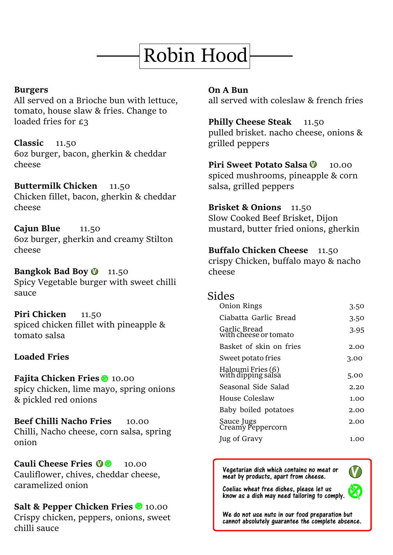# Robin Hood

#### **Burgers**

All served on a Brioche bun with lettuce, tomato, house slaw & fries. Change to loaded fries for £3

**Classic** 11.50

6oz burger, bacon, gherkin & cheddar cheese

**Buttermilk Chicken** 11.50 Chicken fillet, bacon, gherkin & cheddar cheese

**Cajun Blue** 11.50 6oz burger, gherkin and creamy Stilton cheese

Bangkok Bad Boy **O** 11.50 Spicy Vegetable burger with sweet chilli sauce

**Piri Chicken** 11.50 spiced chicken fillet with pineapple & tomato salsa

#### **Loaded Fries**

**Fajita Chicken Fries** 2 10.00 spicy chicken, lime mayo, spring onions & pickled red onions

**Beef Chilli Nacho Fries** 10.00 Chilli, Nacho cheese, corn salsa, spring onion

**Cauli Cheese Fries 02** 10.00 Cauliflower, chives, cheddar cheese, caramelized onion

**Salt & Pepper Chicken Fries 2** 10.00 Crispy chicken, peppers, onions, sweet chilli sauce

**On A Bun** all served with coleslaw & french fries

**Philly Cheese Steak** 11.50 pulled brisket. nacho cheese, onions & grilled peppers

**Piri Sweet Potato Salsa <sup>(10</sup>)** 10.00 spiced mushrooms, pineapple & corn salsa, grilled peppers

**Brisket & Onions** 11.50 Slow Cooked Beef Brisket, Dijon mustard, butter fried onions, gherkin

**Buffalo Chicken Cheese** 11.50 crispy Chicken, buffalo mayo & nacho cheese

#### Sides

Ξ

| Onion Rings                             | 3.50 |
|-----------------------------------------|------|
| Ciabatta Garlic Bread                   | 3.50 |
| Garlic Bread<br>with cheese or tomato   | 3.95 |
| Basket of skin on fries                 | 2.00 |
| Sweet potato fries                      | 3.00 |
| Haloumi Fries (6)<br>with dipping salsa | 5.00 |
| Seasonal Side Salad                     | 2.20 |
| House Coleslaw                          | 1.00 |
| Baby boiled potatoes                    | 2.00 |
| Sauce Jugs<br>Creamy Peppercorn         | 2.00 |
| <b>Jug of Gravy</b>                     | 1.00 |

Vegetarian dish which contains no meat or meat by products, apart from cheese.



 $\overline{a}$ Coeliac wheat free dishes, please let us know as a dish may need tailoring to comply.

We do not use nuts in our food preparation but cannot absolutely guarantee the complete absence.